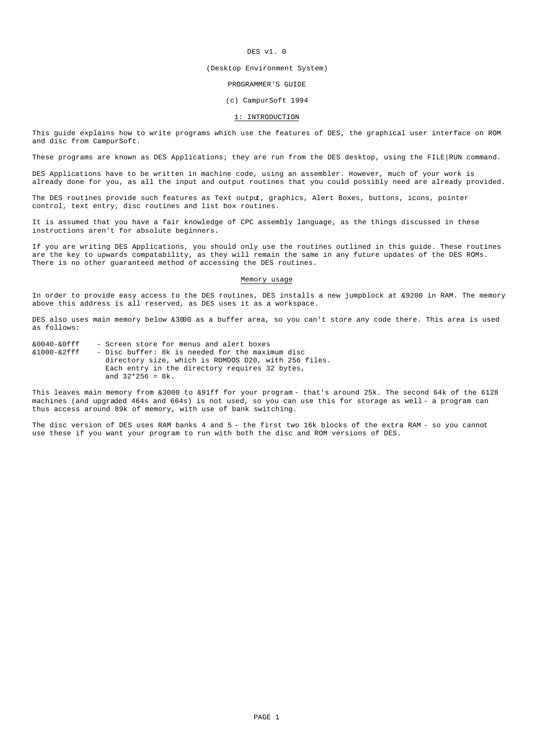### DES v1. 0

#### (Desktop Environment System)

#### PROGRAMMER'S GUIDE

### (c) CampurSoft 1994

## 1: INTRODUCTION

This guide explains how to write programs which use the features of DES, the graphical user interface on ROM and disc from CampurSoft.

These programs are known as DES Applications; they are run from the DES desktop, using the FILE RUN command.

DES Applications have to be written in machine code, using an assembler. However, much of your work is already done for you, as all the input and output routines that you could possibly need are already provided.

The DES routines provide such features as Text output, graphics, Alert Boxes, buttons, icons, pointer control, text entry, disc routines and list box routines.

It is assumed that you have a fair knowledge of CPC assembly language, as the things discussed in these instructions aren't for absolute beginners.

If you are writing DES Applications, you should only use the routines outlined in this guide. These routines are the key to upwards compatability, as they will remain the same in any future updates of the DES ROMs. There is no other guaranteed method of accessing the DES routines.

#### Memory usage

In order to provide easy access to the DES routines, DES installs a new jumpblock at &9200 in RAM. The memory above this address is all reserved, as DES uses it as a workspace.

DES also uses main memory below &3000 as a buffer area, so you can't store any code there. This area is used as follows:

| $&0.040 - &0$ fff     | - Screen store for menus and alert boxes             |
|-----------------------|------------------------------------------------------|
| & 1 0 0 0 – & 2 f f f | - Disc buffer: 8k is needed for the maximum disc     |
|                       | directory size, which is ROMDOS D20, with 256 files. |
|                       | Each entry in the directory requires 32 bytes,       |
|                       | and $32*256 = 8k$ .                                  |

This leaves main memory from &3000 to &91ff for your program - that's around 25k. The second 64k of the 6128 machines (and upgraded 464s and 664s) is not used, so you can use this for storage as well - a program can thus access around 89k of memory, with use of bank switching.

The disc version of DES uses RAM banks 4 and 5 - the first two 16k blocks of the extra RAM - so you cannot use these if you want your program to run with both the disc and ROM versions of DES.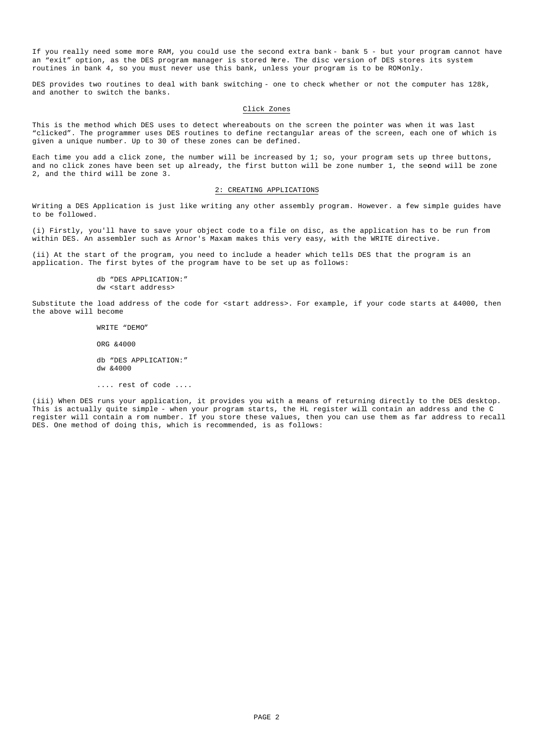If you really need some more RAM, you could use the second extra bank - bank 5 - but your program cannot have an "exit" option, as the DES program manager is stored here. The disc version of DES stores its system routines in bank 4, so you must never use this bank, unless your program is to be ROM-only.

DES provides two routines to deal with bank switching - one to check whether or not the computer has 128k, and another to switch the banks.

#### Click Zones

This is the method which DES uses to detect whereabouts on the screen the pointer was when it was last "clicked". The programmer uses DES routines to define rectangular areas of the screen, each one of which is given a unique number. Up to 30 of these zones can be defined.

Each time you add a click zone, the number will be increased by 1; so, your program sets up three buttons, and no click zones have been set up already, the first button will be zone number 1, the second will be zone 2, and the third will be zone 3.

# 2: CREATING APPLICATIONS

Writing a DES Application is just like writing any other assembly program. However. a few simple guides have to be followed.

(i) Firstly, you'll have to save your object code to a file on disc, as the application has to be run from within DES. An assembler such as Arnor's Maxam makes this very easy, with the WRITE directive.

(ii) At the start of the program, you need to include a header which tells DES that the program is an application. The first bytes of the program have to be set up as follows:

> db "DES APPLICATION:" dw <start address>

Substitute the load address of the code for <start address>. For example, if your code starts at &4000, then the above will become

> WRITE "DEMO" ORG &4000 db "DES APPLICATION:" dw &4000

.... rest of code ....

(iii) When DES runs your application, it provides you with a means of returning directly to the DES desktop. This is actually quite simple - when your program starts, the HL register will contain an address and the C register will contain a rom number. If you store these values, then you can use them as far address to recall DES. One method of doing this, which is recommended, is as follows: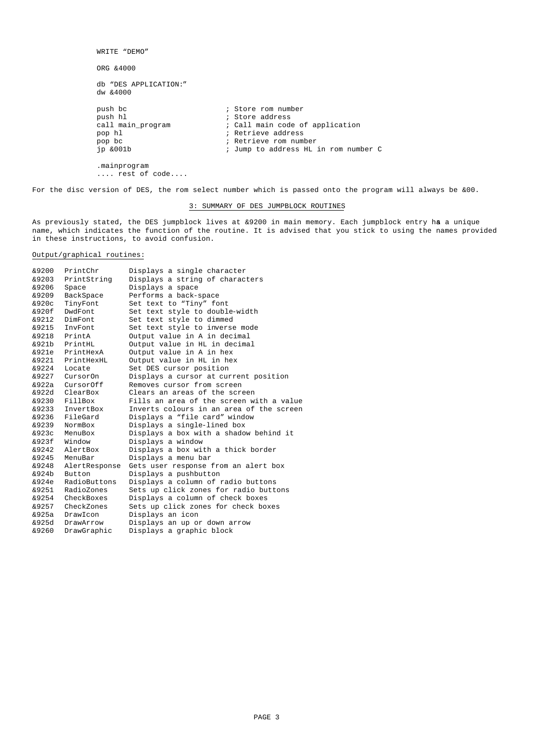WRITE "DEMO" ORG &4000 db "DES APPLICATION:" dw &4000 push bc  $\qquad \qquad ;$  Store rom number push hl ; Store address call main\_program  $\begin{array}{ccc} i & c \text{all main code of application} \\ i & \text{Retrieve address} \end{array}$ pop hl ; Retrieve address<br>pop bc ; Retrieve rom number<br>jp &001b ; Jump to address E pop bc ; Retrieve rom number jp &001b ; Jump to address HL in rom number C .mainprogram .... rest of code....

For the disc version of DES, the rom select number which is passed onto the program will always be &00.

# 3: SUMMARY OF DES JUMPBLOCK ROUTINES

As previously stated, the DES jumpblock lives at &9200 in main memory. Each jumpblock entry has a unique name, which indicates the function of the routine. It is advised that you stick to using the names provided in these instructions, to avoid confusion.

# Output/graphical routines:

| 89200 | PrintChr      | Displays a single character              |
|-------|---------------|------------------------------------------|
| &9203 | PrintString   | Displays a string of characters          |
| &9206 | Space         | Displays a space                         |
| &9209 | BackSpace     | Performs a back-space                    |
| &920c | TinyFont      | Set text to "Tiny" font                  |
| &920f | DwdFont.      | Set text style to double-width           |
| &9212 | DimFont       | Set text style to dimmed                 |
| &9215 | InvFont.      | Set text style to inverse mode           |
| &9218 | PrintA        | Output value in A in decimal             |
| &921b | PrintHL       | Output value in HL in decimal            |
| &921e | PrintHexA     | Output value in A in hex                 |
| &9221 | PrintHexHL    | Output value in HL in hex                |
| 89224 | Locate        | Set DES cursor position                  |
| 89227 | CursorOn      | Displays a cursor at current position    |
| &922a | CursorOff     | Removes cursor from screen               |
| &922d | ClearBox      | Clears an areas of the screen            |
| &9230 | FillBox       | Fills an area of the screen with a value |
| &9233 | InvertBox     | Inverts colours in an area of the screen |
| &9236 | FileGard      | Displays a "file card" window            |
| &9239 | NormBox       | Displays a single-lined box              |
| &923c | MenuBox       | Displays a box with a shadow behind it   |
| &923f | Window        | Displays a window                        |
| 89242 | AlertBox      | Displays a box with a thick border       |
| &9245 | MenuBar       | Displays a menu bar                      |
| &9248 | AlertResponse | Gets user response from an alert box     |
| &924b | Button        | Displays a pushbutton                    |
| &924e | RadioButtons  | Displays a column of radio buttons       |
| &9251 | RadioZones    | Sets up click zones for radio buttons    |
| &9254 | CheckBoxes    | Displays a column of check boxes         |
| 89257 | CheckZones    | Sets up click zones for check boxes      |
| &925a | DrawIcon      | Displays an icon                         |
| &925d | DrawArrow     | Displays an up or down arrow             |
| &9260 | DrawGraphic   | Displays a graphic block                 |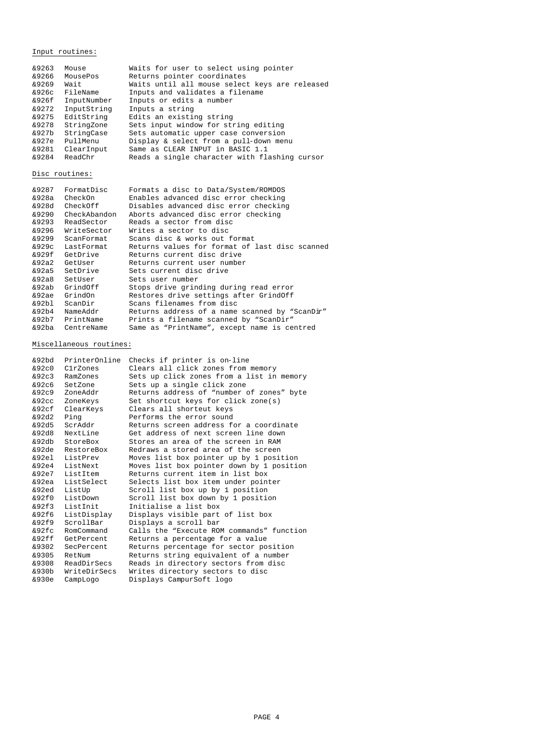Input routines:

| &9263 | Mouse       | Waits for user to select using pointer         |
|-------|-------------|------------------------------------------------|
| &9266 | MousePos    | Returns pointer coordinates                    |
| &9269 | Wait        | Waits until all mouse select keys are released |
| &926c | FileName    | Inputs and validates a filename                |
| &926f | InputNumber | Inputs or edits a number                       |
| &9272 | InputString | Inputs a string                                |
| &9275 | EditString  | Edits an existing string                       |
| &9278 | StringZone  | Sets input window for string editing           |
| &927b | StringCase  | Sets automatic upper case conversion           |
| &927e | PullMenu    | Display & select from a pull-down menu         |
| &9281 | ClearInput  | Same as CLEAR INPUT in BASIC 1.1               |
| 89284 | ReadChr     | Reads a single character with flashing cursor  |

# Disc routines:

| FormatDisc      | Formats a disc to Data/System/ROMDOS           |
|-----------------|------------------------------------------------|
| CheckOn         | Enables advanced disc error checking           |
| CheckOff        | Disables advanced disc error checking          |
| CheckAbandon    | Aborts advanced disc error checking            |
| ReadSector      | Reads a sector from disc                       |
| WriteSector     | Writes a sector to disc                        |
| ScanFormat      | Scans disc & works out format                  |
| LastFormat      | Returns values for format of last disc scanned |
| GetDrive        | Returns current disc drive                     |
| GetUser         | Returns current user number                    |
| SetDrive        | Sets current disc drive                        |
| SetUser         | Sets user number                               |
| GrindOff        | Stops drive grinding during read error         |
| GrindOn         | Restores drive settings after GrindOff         |
| ScanDir         | Scans filenames from disc                      |
| NameAddr        | Returns address of a name scanned by "ScanDir" |
| &92b7 PrintName | Prints a filename scanned by "ScanDir"         |
| CentreName      | Same as "PrintName", except name is centred    |
|                 |                                                |

# Miscellaneous routines:

| PrinterOnline | Checks if printer is on-line                                                                                                  |
|---------------|-------------------------------------------------------------------------------------------------------------------------------|
| C1rZones      | Clears all click zones from memory                                                                                            |
| RamZones      | Sets up click zones from a list in memory                                                                                     |
| SetZone       | Sets up a single click zone                                                                                                   |
|               | Returns address of "number of zones" byte                                                                                     |
| ZoneKeys      | Set shortcut keys for click zone(s)                                                                                           |
| ClearKeys     | Clears all shorteut keys                                                                                                      |
| Ping          | Performs the error sound                                                                                                      |
| ScrAddr       | Returns screen address for a coordinate                                                                                       |
| NextLine      | Get address of next screen line down                                                                                          |
|               | Stores an area of the screen in RAM                                                                                           |
|               | Redraws a stored area of the screen                                                                                           |
|               | Moves list box pointer up by 1 position                                                                                       |
|               | Moves list box pointer down by 1 position                                                                                     |
|               | Returns current item in list box                                                                                              |
|               | Selects list box item under pointer                                                                                           |
| ListUp        | Scroll list box up by 1 position                                                                                              |
| ListDown      | Scroll list box down by 1 position                                                                                            |
| ListInit      | Initialise a list box                                                                                                         |
| ListDisplay   | Displays visible part of list box                                                                                             |
| ScrollBar     | Displays a scroll bar                                                                                                         |
| RomCommand    | Calls the "Execute ROM commands" function                                                                                     |
|               | Returns a percentage for a value                                                                                              |
| SecPercent    | Returns percentage for sector position                                                                                        |
| RetNum        | Returns string equivalent of a number                                                                                         |
|               | Reads in directory sectors from disc                                                                                          |
| WriteDirSecs  | Writes directory sectors to disc                                                                                              |
| CampLogo      | Displays CampurSoft logo                                                                                                      |
|               | ZoneAddr<br>&92db StoreBox<br>RestoreBox<br>ListPrev<br>&92e4 ListNext<br>ListItem<br>ListSelect<br>GetPercent<br>ReadDirSecs |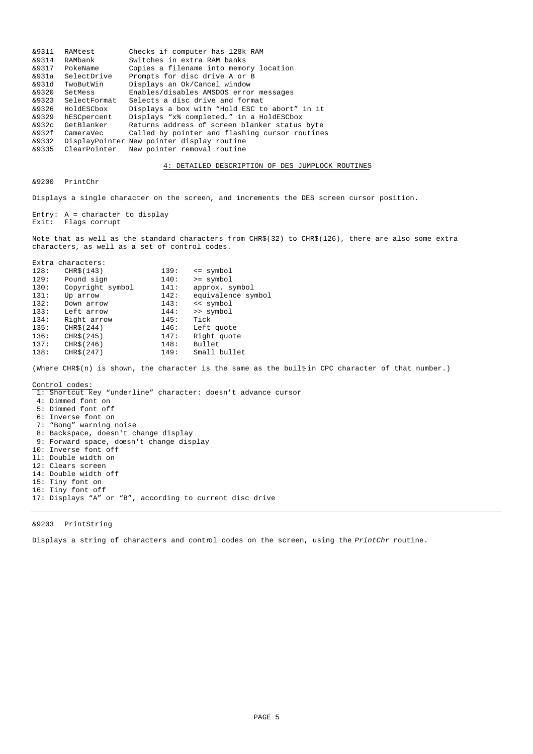| &9311 | RAMtest      | Checks if computer has 128k RAM                |
|-------|--------------|------------------------------------------------|
| 89314 | RAMbank      | Switches in extra RAM banks                    |
| 89317 | PokeName     | Copies a filename into memory location         |
| &931a | SelectDrive  | Prompts for disc drive A or B                  |
| &931d | TwoButWin    | Displays an Ok/Cancel window                   |
| 89320 | SetMess      | Enables/disables AMSDOS error messages         |
| &9323 | SelectFormat | Selects a disc drive and format                |
| &9326 | HoldESCbox   | Displays a box with "Hold ESC to abort" in it  |
| &9329 | hESCpercent  | Displays "x% completed" in a HoldESCbox        |
| &932c | GetBlanker   | Returns address of screen blanker status byte  |
| &932f | CameraVec    | Called by pointer and flashing cursor routines |
| 89332 |              | DisplayPointer New pointer display routine     |
| &9335 | ClearPointer | New pointer removal routine                    |

### 4: DETAILED DESCRIPTION OF DES JUMPLOCK ROUTINES

&9200 PrintChr

Displays a single character on the screen, and increments the DES screen cursor position.

Entry: A = character to display Exit: Flags corrupt

Note that as well as the standard characters from CHR\$(32) to CHR\$(126), there are also some extra characters, as well as a set of control codes.

|      | Extra characters: |      |                    |
|------|-------------------|------|--------------------|
| 128: | CHR\$(143)        | 139: | $\leq$ symbol      |
| 129: | Pound sign        | 140: | $>=$ symbol        |
| 130: | Copyright symbol  | 141: | approx. symbol     |
| 131: | Up arrow          | 142: | equivalence symbol |
| 132: | Down arrow        | 143: | << symbol          |
| 133: | Left arrow        | 144: | >> symbol          |
| 134: | Right arrow       | 145: | Tick               |
| 135: | CHR\$ (244)       | 146: | Left quote         |
| 136: | CHR\$ (245)       | 147: | Right quote        |
| 137: | CHR\$ (246)       | 148: | Bullet             |
| 138: | CHR\$(247)        | 149: | Small bullet       |
|      |                   |      |                    |

(Where CHR\$(n) is shown, the character is the same as the built-in CPC character of that number.)

# Control codes:

1: Shortcut key "underline" character: doesn't advance cursor

- 4: Dimmed font on
- 5: Dimmed font off
- 6: Inverse font on
- 7: "Bong" warning noise
- 8: Backspace, doesn't change display
- 9: Forward space, doesn't change display
- 10: Inverse font off
- ll: Double width on
- 12: Clears screen
- 14: Double width off
- 15: Tiny font on
- 16: Tiny font off
- 17: Displays "A" or "B", according to current disc drive

# &9203 PrintString

Displays a string of characters and control codes on the screen, using the *PrintChr* routine.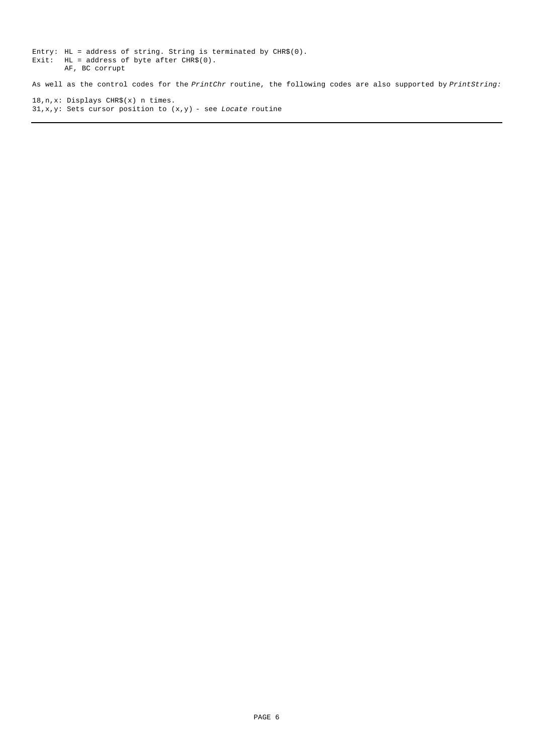Entry: HL = address of string. String is terminated by CHR\$(0). Exit: HL = address of byte after CHR\$(0). AF, BC corrupt

As well as the control codes for the *PrintChr* routine, the following codes are also supported by *PrintString:*

18,n,x: Displays CHR\$(x) n times. 31,x,y: Sets cursor position to (x,y) - see *Locate* routine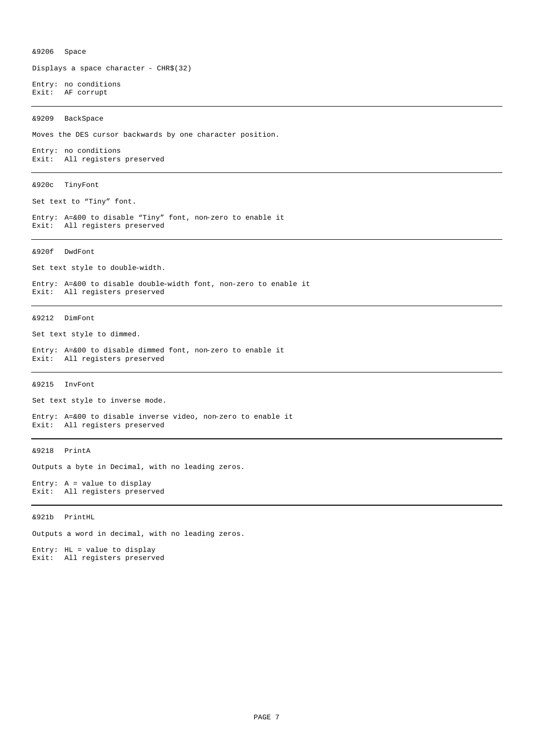&9206 Space

Displays a space character - CHR\$(32)

Entry: no conditions Exit: AF corrupt

&9209 BackSpace

Moves the DES cursor backwards by one character position.

Entry: no conditions Exit: All registers preserved

# &920c TinyFont

Set text to "Tiny" font.

Entry: A=&00 to disable "Tiny" font, non-zero to enable it Exit: All registers preserved

&920f DwdFont

Set text style to double-width.

Entry: A=&00 to disable double-width font, non-zero to enable it Exit: All registers preserved

&9212 DimFont

Set text style to dimmed.

Entry: A=&00 to disable dimmed font, non-zero to enable it Exit: All registers preserved

&9215 InvFont

Set text style to inverse mode.

Entry: A=&00 to disable inverse video, non-zero to enable it Exit: All registers preserved

### &9218 PrintA

Outputs a byte in Decimal, with no leading zeros.

Entry: A = value to display Exit: All registers preserved

&921b PrintHL

Outputs a word in decimal, with no leading zeros.

Entry: HL = value to display Exit: All registers preserved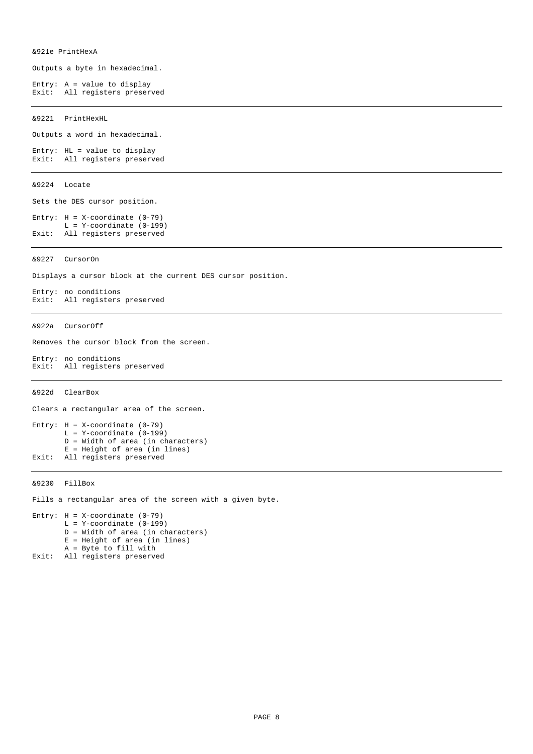Outputs a byte in hexadecimal.

Entry:  $A = value to display$ Exit: All registers preserved

&9221 PrintHexHL

Outputs a word in hexadecimal.

Entry: HL = value to display Exit: All registers preserved

## &9224 Locate

Sets the DES cursor position.

Entry: H = X-coordinate (0-79)  $L = Y-coordinate (0-199)$ Exit: All registers preserved

&9227 CursorOn

Displays a cursor block at the current DES cursor position.

Entry: no conditions Exit: All registers preserved

&922a CursorOff

Removes the cursor block from the screen.

Entry: no conditions Exit: All registers preserved

### &922d ClearBox

Clears a rectangular area of the screen.

```
Entry: H = X-coordinate (0-79)L = Y-coordinate (0-199)
       D = Width of area (in characters)
       E = Height of area (in lines)
Exit: All registers preserved
```
&9230 FillBox

Fills a rectangular area of the screen with a given byte.

Entry:  $H = X-coordinate (0-79)$  $L = Y$ -coordinate (0-199) D = Width of area (in characters) E = Height of area (in lines) A = Byte to fill with Exit: All registers preserved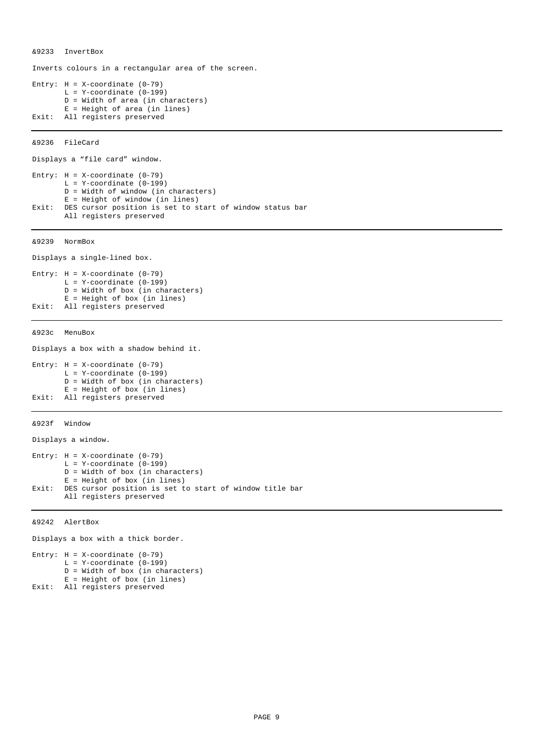&9233 InvertBox

Inverts colours in a rectangular area of the screen.

```
Entry: H = X-coordinate (0-79)L = Y-coordinate (0-199)D = Width of area (in characters)
       E = Height of area (in lines)
Exit: All registers preserved
```
&9236 FileCard

```
Displays a "file card" window.
Entry: H = X-coordinate (0-79)
       L = Y-coordinate (0-199)
       D = Width of window (in characters)
       E = Height of window (in lines)
Exit: DES cursor position is set to start of window status bar
       All registers preserved
```
&9239 NormBox

```
Displays a single-lined box.
Entry: H = X-coordinate (0-79)
```

```
L = Y-coordinate (0-199)
       D = Width of box (in characters)
       E = Height of box (in lines)
Exit: All registers preserved
```
&923c MenuBox

Displays a box with a shadow behind it.

```
Entry: H = X-coordinate (0-79)L = Y-coordinate (0-199)D = Width of box (in characters)
       E = Height of box (in lines)
Exit: All registers preserved
```
&923f Window

Displays a window.

```
Entry: H = X-coordinate (0-79)L = Y-coordinate (0-199)
       D = Width of box (in characters)
       E = Height of box (in lines)
Exit: DES cursor position is set to start of window title bar
       All registers preserved
```
&9242 AlertBox

Displays a box with a thick border.

```
Entry: H = X-coordinate (0-79)L = Y-coordinate (0-199)
       D = Width of box (in characters)
      E = Height of box (in lines)
Exit: All registers preserved
```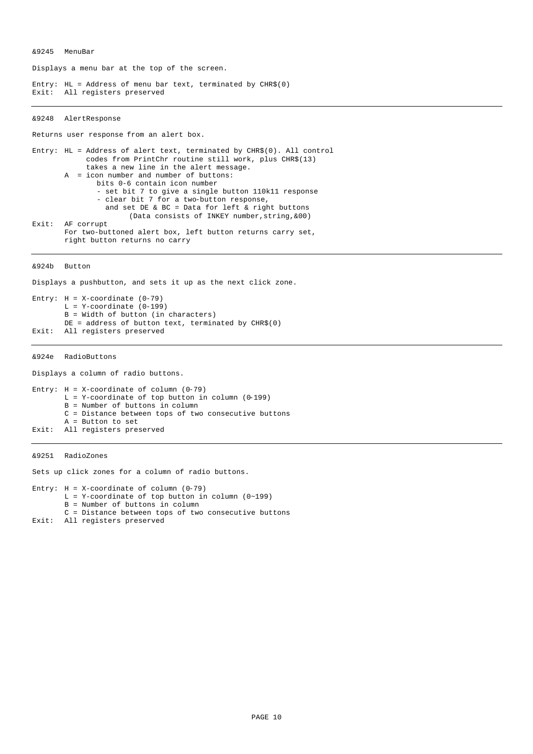&9245 MenuBar

Displays a menu bar at the top of the screen.

Entry: HL = Address of menu bar text, terminated by CHR\$(0) Exit: All registers preserved

### &9248 AlertResponse

Returns user response from an alert box.

Entry: HL = Address of alert text, terminated by CHR\$(0). All control codes from PrintChr routine still work, plus CHR\$(13) takes a new line in the alert message. A = icon number and number of buttons: bits 0-6 contain icon number - set bit 7 to give a single button 110k11 response - clear bit 7 for a two-button response, and set DE & BC = Data for left & right buttons (Data consists of INKEY number,string,&00) Exit: AF corrupt For two-buttoned alert box, left button returns carry set, right button returns no carry

#### &924b Button

Displays a pushbutton, and sets it up as the next click zone.

```
Entry: H = X-coordinate (0-79)
       L = Y-coordinate (0-199)
       B = Width of button (in characters)
       DE = address of button text, terminated by CHR$(0)Exit: All registers preserved
```
&924e RadioButtons

Displays a column of radio buttons. Entry:  $H = X-coordinate of column (0-79)$  $L = Y$ -coordinate of top button in column (0-199) B = Number of buttons in column C = Distance between tops of two consecutive buttons A = Button to set Exit: All registers preserved

&9251 RadioZones

Sets up click zones for a column of radio buttons.

```
Entry: H = X-coordinate of column (0-79)
       L = Y-coordinate of top button in column (0~199)
       B = Number of buttons in column
       C = Distance between tops of two consecutive buttons
Exit: All registers preserved
```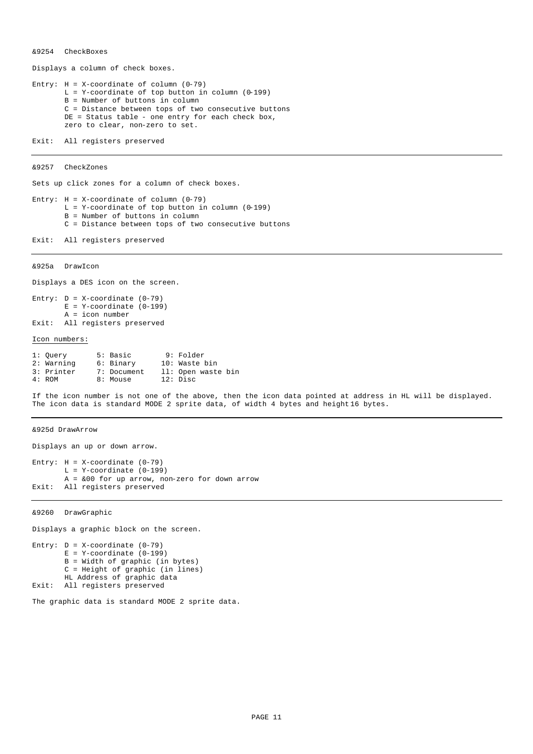### &9254 CheckBoxes

Displays a column of check boxes.

Entry:  $H = X$ -coordinate of column (0-79)  $L = Y$ -coordinate of top button in column (0-199) B = Number of buttons in column C = Distance between tops of two consecutive buttons DE = Status table - one entry for each check box, zero to clear, non-zero to set.

Exit: All registers preserved

&9257 CheckZones

Sets up click zones for a column of check boxes.

Entry:  $H = X$ -coordinate of column (0-79)  $L = Y$ -coordinate of top button in column (0-199) B = Number of buttons in column C = Distance between tops of two consecutive buttons

Exit: All registers preserved

&925a DrawIcon

Displays a DES icon on the screen.

Entry:  $D = X-coordinate (0-79)$  $E = Y$ -coordinate (0-199) A = icon number Exit: All registers preserved

#### Icon numbers:

| 1: Ouery   | 5: Basic    | 9: Folder          |
|------------|-------------|--------------------|
| 2: Warning | 6: Binary   | 10: Waste bin      |
| 3: Printer | 7: Document | 11: Open waste bin |
| 4: ROM     | 8: Mouse    | 12: Disc           |

If the icon number is not one of the above, then the icon data pointed at address in HL will be displayed. The icon data is standard MODE 2 sprite data, of width 4 bytes and height 16 bytes.

&925d DrawArrow

Displays an up or down arrow.

Entry:  $H = X-coordinate (0-79)$  $L = Y$ -coordinate (0-199)  $A = \&00$  for up arrow, non-zero for down arrow Exit: All registers preserved

&9260 DrawGraphic

Displays a graphic block on the screen.

```
Entry: D = X-coordinate (0-79)E = Y-coordinate (0-199)
       B = Width of graphic (in bytes)
       C = Height of graphic (in lines)
       HL Address of graphic data
Exit: All registers preserved
```
The graphic data is standard MODE 2 sprite data.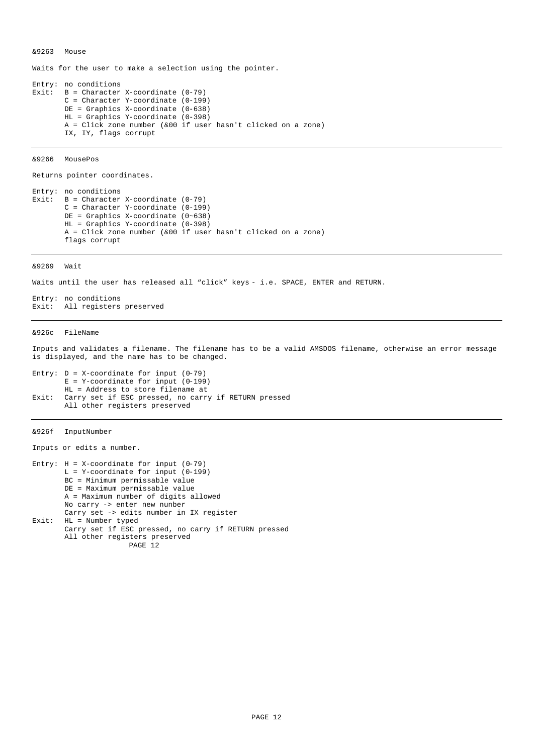&9263 Mouse

Waits for the user to make a selection using the pointer.

Entry: no conditions Exit: B = Character X-coordinate (0-79) C = Character Y-coordinate (0-199) DE = Graphics X-coordinate (0-638) HL = Graphics Y-coordinate (0-398) A = Click zone number (&00 if user hasn't clicked on a zone) IX, IY, flags corrupt

&9266 MousePos

Returns pointer coordinates.

Entry: no conditions Exit:  $B =$  Character X-coordinate (0-79) C = Character Y-coordinate (0-199) DE = Graphics X-coordinate (0~638) HL = Graphics Y-coordinate (0-398) A = Click zone number (&00 if user hasn't clicked on a zone) flags corrupt

&9269 Wait

Waits until the user has released all "click" keys - i.e. SPACE, ENTER and RETURN.

Entry: no conditions Exit: All registers preserved

#### &926c FileName

Inputs and validates a filename. The filename has to be a valid AMSDOS filename, otherwise an error message is displayed, and the name has to be changed.

Entry:  $D = X$ -coordinate for input  $(0-79)$  $E = Y$ -coordinate for input (0-199) HL = Address to store filename at Exit: Carry set if ESC pressed, no carry if RETURN pressed All other registers preserved

# &926f InputNumber

Inputs or edits a number.

```
Entry: H = X-coordinate for input (0-79)L = Y-coordinate for input (0-199)
       BC = Minimum permissable value
       DE = Maximum permissable value
       A = Maximum number of digits allowed
       No carry -> enter new nunber
       Carry set -> edits number in IX register
Exit: HL = Number typed
       Carry set if ESC pressed, no carry if RETURN pressed
       All other registers preserved
                      PAGE 12
```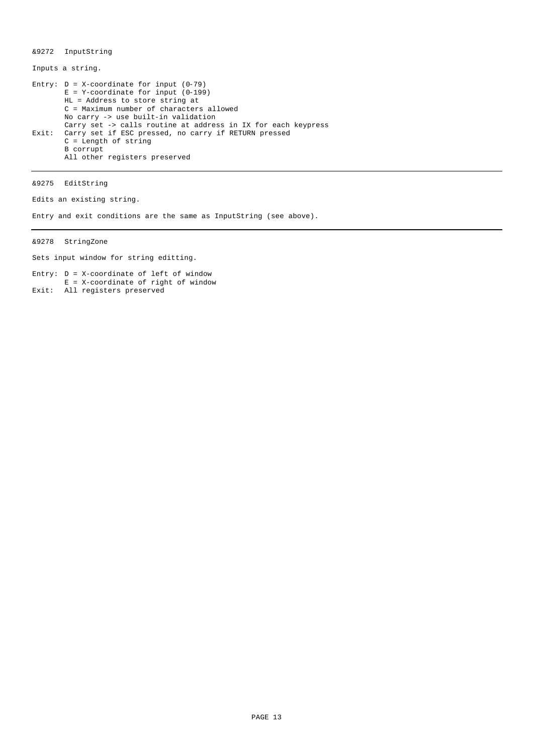&9272 InputString

Inputs a string.

Entry:  $D = X$ -coordinate for input  $(0-79)$  $E = Y$ -coordinate for input (0-199) HL = Address to store string at C = Maximum number of characters allowed No carry -> use built-in validation Carry set -> calls routine at address in IX for each keypress Exit: Carry set if ESC pressed, no carry if RETURN pressed  $C = Length of string$ B corrupt All other registers preserved

&9275 EditString

Edits an existing string.

Entry and exit conditions are the same as InputString (see above).

&9278 StringZone

Sets input window for string editting.

Entry: D = X-coordinate of left of window E = X-coordinate of right of window Exit: All registers preserved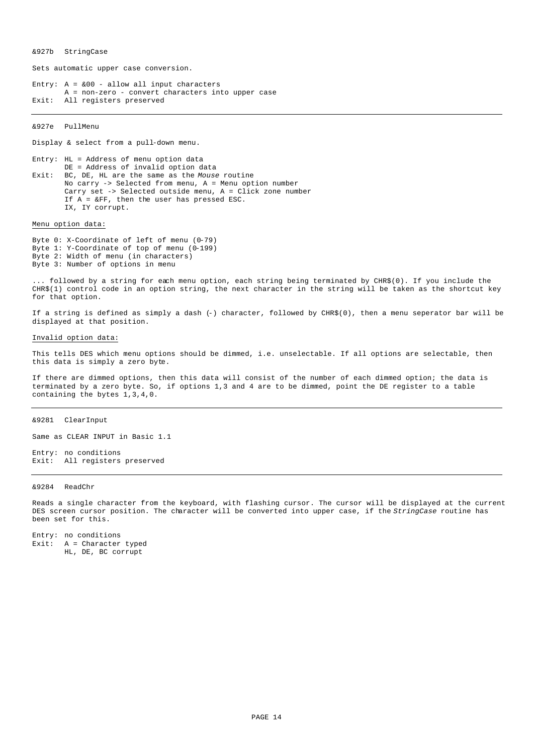&927b StringCase

Sets automatic upper case conversion.

Entry:  $A = \&00 - \text{allow all input characters}$ A = non-zero - convert characters into upper case Exit: All registers preserved

&927e PullMenu

Display & select from a pull-down menu.

Entry: HL = Address of menu option data DE = Address of invalid option data Exit: BC, DE, HL are the same as the *Mouse* routine No carry -> Selected from menu, A = Menu option number Carry set -> Selected outside menu, A = Click zone number If A = &FF, then the user has pressed ESC. IX, IY corrupt.

Menu option data:

Byte 0: X-Coordinate of left of menu (0-79) Byte 1: Y-Coordinate of top of menu (0-199) Byte 2: Width of menu (in characters) Byte 3: Number of options in menu

... followed by a string for each menu option, each string being terminated by CHR\$(0). If you include the CHR\$(1) control code in an option string, the next character in the string will be taken as the shortcut key for that option.

If a string is defined as simply a dash (-) character, followed by CHR\$(0), then a menu seperator bar will be displayed at that position.

### Invalid option data:

This tells DES which menu options should be dimmed, i.e. unselectable. If all options are selectable, then this data is simply a zero byte.

If there are dimmed options, then this data will consist of the number of each dimmed option; the data is terminated by a zero byte. So, if options 1,3 and 4 are to be dimmed, point the DE register to a table containing the bytes 1,3,4,0.

### &9281 ClearInput

Same as CLEAR INPUT in Basic 1.1

Entry: no conditions Exit: All registers preserved

#### &9284 ReadChr

Reads a single character from the keyboard, with flashing cursor. The cursor will be displayed at the current DES screen cursor position. The character will be converted into upper case, if the *StringCase* routine has been set for this.

Entry: no conditions Exit: A = Character typed HL, DE, BC corrupt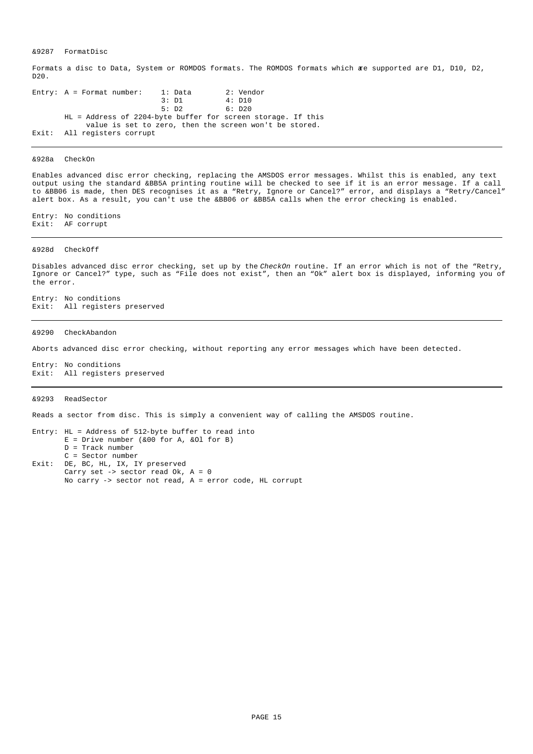&9287 FormatDisc

Formats a disc to Data, System or ROMDOS formats. The ROMDOS formats which are supported are D1, D10, D2, D20.

Entry:  $A =$  Format number:  $1:$  Data  $2:$  Vendor<br>3:  $D1 = 4:$   $D10 = 3:$  $4: D10$ 5: D2 6: D20 HL = Address of 2204-byte buffer for screen storage. If this value is set to zero, then the screen won't be stored. Exit: All registers corrupt

#### &928a CheckOn

Enables advanced disc error checking, replacing the AMSDOS error messages. Whilst this is enabled, any text output using the standard &BB5A printing routine will be checked to see if it is an error message. If a call to &BB06 is made, then DES recognises it as a "Retry, Ignore or Cancel?" error, and displays a "Retry/Cancel" alert box. As a result, you can't use the &BB06 or &BB5A calls when the error checking is enabled.

Entry: No conditions Exit: AF corrupt

## &928d CheckOff

Disables advanced disc error checking, set up by the *CheckOn* routine. If an error which is not of the "Retry, Ignore or Cancel?" type, such as "File does not exist", then an "Ok" alert box is displayed, informing you of the error.

Entry: No conditions Exit: All registers preserved

&9290 CheckAbandon

Aborts advanced disc error checking, without reporting any error messages which have been detected.

Entry: No conditions Exit: All registers preserved

#### &9293 ReadSector

Reads a sector from disc. This is simply a convenient way of calling the AMSDOS routine.

Entry: HL = Address of 512-byte buffer to read into  $E =$  Drive number (&00 for A, &01 for B) D = Track number C = Sector number Exit: DE, BC, HL, IX, IY preserved Carry set -> sector read Ok, A = 0 No carry -> sector not read, A = error code, HL corrupt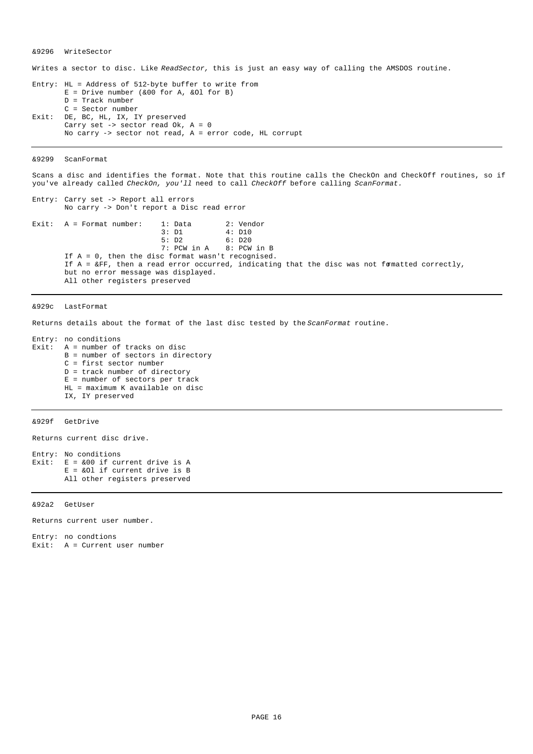&9296 WriteSector

Writes a sector to disc. Like *ReadSector,* this is just an easy way of calling the AMSDOS routine.

Entry: HL = Address of 512-byte buffer to write from  $E = Drive number (&00 for A, &01 for B)$ D = Track number C = Sector number Exit: DE, BC, HL, IX, IY preserved Carry set  $\rightarrow$  sector read Ok,  $A = 0$ No carry -> sector not read, A = error code, HL corrupt

&9299 ScanFormat

Scans a disc and identifies the format. Note that this routine calls the CheckOn and CheckOff routines, so if you've already called *CheckOn, you'll* need to call *CheckOff* before calling *ScanFormat.*

No carry -> Don't report a Disc read error Exit: A = Format number: 1: Data 2: Vendor 3: D1 4: D10 5: D2 6: D20<br>7: PCW in A 8: PCW 8: PCW in B If A = 0, then the disc format wasn't recognised. If  $A = \&FF$ , then a read error occurred, indicating that the disc was not formatted correctly, but no error message was displayed. All other registers preserved

&929c LastFormat

Returns details about the format of the last disc tested by the *ScanFormat* routine.

Entry: no conditions Exit:  $A = number of tracks on disc$ B = number of sectors in directory C = first sector number D = track number of directory  $E$  = number of sectors per track HL = maximum K available on disc IX, IY preserved

Entry: Carry set -> Report all errors

&929f GetDrive

Returns current disc drive.

Entry: No conditions Exit:  $E = \&00$  if current drive is A E = &Ol if current drive is B All other registers preserved

&92a2 GetUser

Returns current user number.

Entry: no condtions Exit: A = Current user number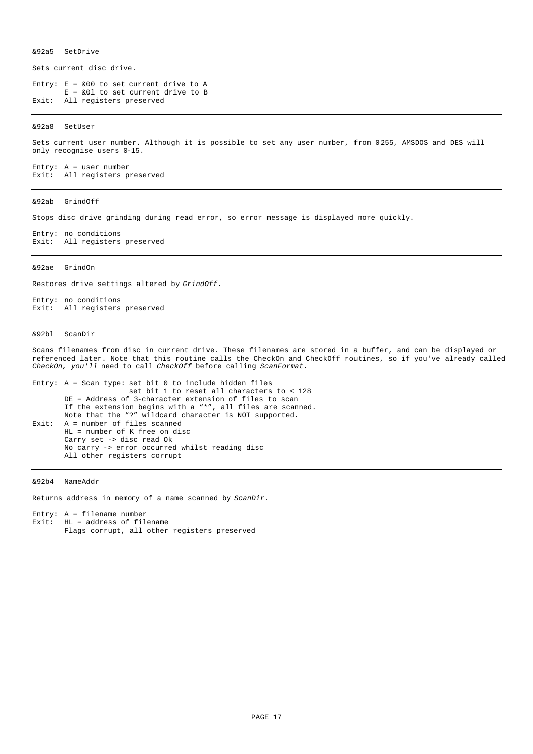&92a5 SetDrive

Sets current disc drive.

Entry:  $E = \&00$  to set current drive to A E = &0l to set current drive to B Exit: All registers preserved

&92a8 SetUser

Sets current user number. Although it is possible to set any user number, from 0-255, AMSDOS and DES will only recognise users 0-15.

Entry: A = user number Exit: All registers preserved

&92ab GrindOff

Stops disc drive grinding during read error, so error message is displayed more quickly.

Entry: no conditions Exit: All registers preserved

#### &92ae GrindOn

Restores drive settings altered by *GrindOff.*

Entry: no conditions Exit: All registers preserved

#### &92bl ScanDir

Scans filenames from disc in current drive. These filenames are stored in a buffer, and can be displayed or referenced later. Note that this routine calls the CheckOn and CheckOff routines, so if you've already called *CheckOn, you'll* need to call *CheckOff* before calling *ScanFormat.*

```
Entry: A = Scan type: set bit 0 to include hidden files
                      set bit 1 to reset all characters to < 128
       DE = Address of 3-character extension of files to scan
       If the extension begins with a "*", all files are scanned.
       Note that the "?" wildcard character is NOT supported.
Exit: A = number of files scanned
       HL = number of K free on disc
       Carry set -> disc read Ok
       No carry -> error occurred whilst reading disc
       All other registers corrupt
```
&92b4 NameAddr

Returns address in memory of a name scanned by *ScanDir.*

Entry: A = filename number Exit:  $HL = address of filename$ Flags corrupt, all other registers preserved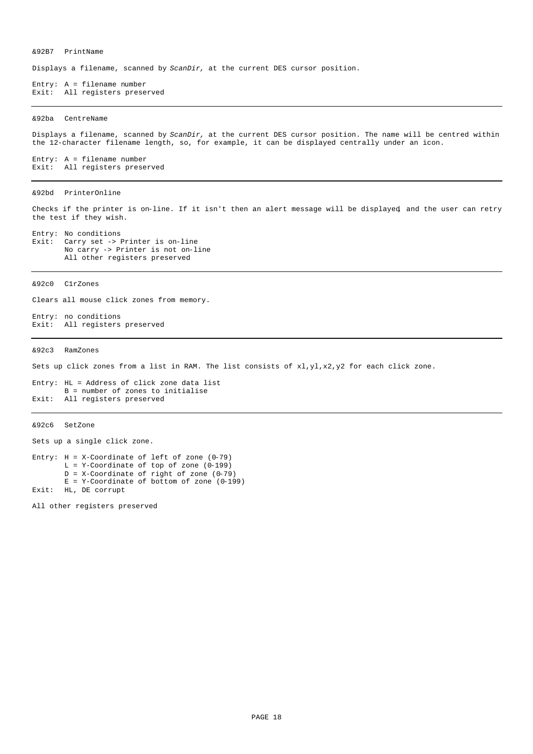&92B7 PrintName

Displays a filename, scanned by *ScanDir,* at the current DES cursor position.

Entry: A = filename number Exit: All registers preserved

#### &92ba CentreName

Displays a filename, scanned by *ScanDir,* at the current DES cursor position. The name will be centred within the 12-character filename length, so, for example, it can be displayed centrally under an icon.

Entry: A = filename number Exit: All registers preserved

### &92bd PrinterOnline

Checks if the printer is on-line. If it isn't then an alert message will be displayed, and the user can retry the test if they wish.

Entry: No conditions<br>Exit: Carry set -> 3 Carry set -> Printer is on-line No carry -> Printer is not on-line All other registers preserved

&92c0 C1rZones

Clears all mouse click zones from memory.

Entry: no conditions Exit: All registers preserved

&92c3 RamZones

Sets up click zones from a list in RAM. The list consists of  $x1, y1, x2, y2$  for each click zone.

Entry: HL = Address of click zone data list B = number of zones to initialise Exit: All registers preserved

### &92c6 SetZone

Sets up a single click zone.

Entry:  $H = X$ -Coordinate of left of zone (0-79)  $L = Y$ -Coordinate of top of zone (0-199)  $D = X$ -Coordinate of right of zone (0-79) E = Y-Coordinate of bottom of zone (0-199) Exit: HL, DE corrupt

All other registers preserved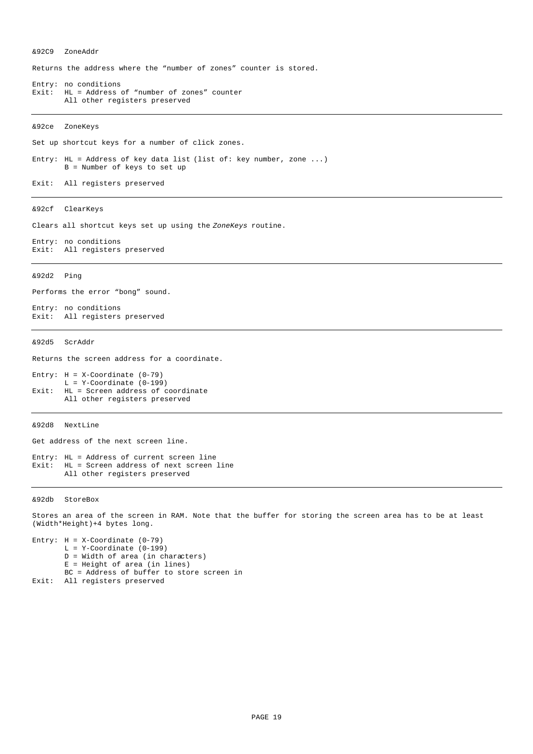&92C9 ZoneAddr Returns the address where the "number of zones" counter is stored. Entry: no conditions Exit: HL = Address of "number of zones" counter All other registers preserved &92ce ZoneKeys Set up shortcut keys for a number of click zones. Entry: HL = Address of key data list (list of: key number, zone ...) B = Number of keys to set up Exit: All registers preserved &92cf ClearKeys Clears all shortcut keys set up using the *ZoneKeys* routine. Entry: no conditions Exit: All registers preserved &92d2 Ping Performs the error "bong" sound. Entry: no conditions Exit: All registers preserved &92d5 ScrAddr Returns the screen address for a coordinate. Entry:  $H = X$ -Coordinate (0-79)  $L = Y$ -Coordinate (0-199) Exit: HL = Screen address of coordinate All other registers preserved &92d8 NextLine Get address of the next screen line. Entry: HL = Address of current screen line Exit: HL = Screen address of next screen line All other registers preserved

&92db StoreBox

Stores an area of the screen in RAM. Note that the buffer for storing the screen area has to be at least (Width\*Height)+4 bytes long.

Entry:  $H = X$ -Coordinate (0-79)  $L = Y$ -Coordinate (0-199) D = Width of area (in characters) E = Height of area (in lines) BC = Address of buffer to store screen in Exit: All registers preserved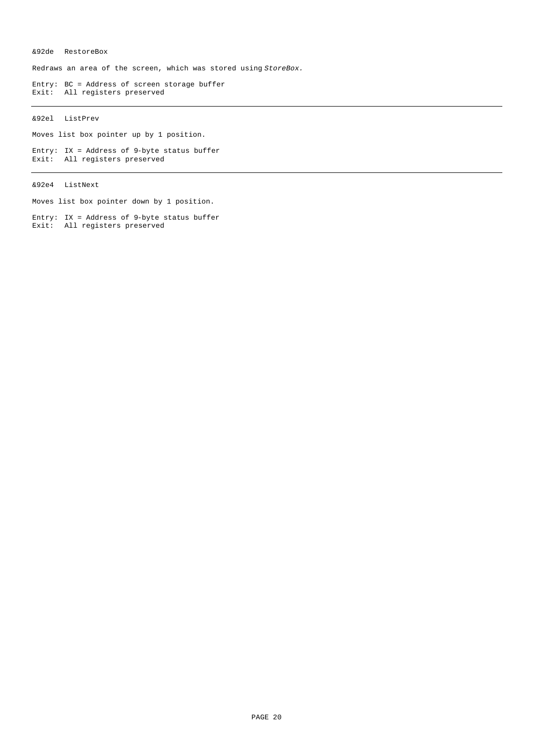# &92de RestoreBox

Redraws an area of the screen, which was stored using *StoreBox.*

Entry: BC = Address of screen storage buffer Exit: All registers preserved

# &92el ListPrev

Moves list box pointer up by 1 position.

Entry: IX = Address of 9-byte status buffer Exit: All registers preserved

&92e4 ListNext

Moves list box pointer down by 1 position.

Entry: IX = Address of 9-byte status buffer Exit: All registers preserved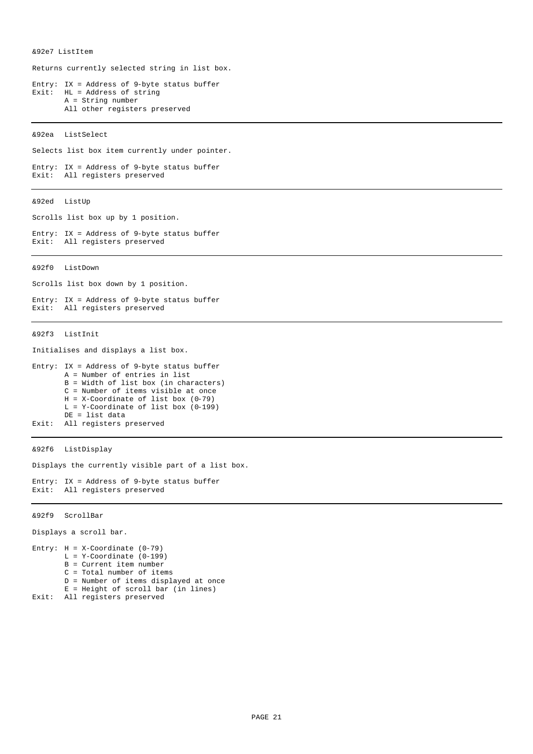&92e7 ListItem

Returns currently selected string in list box.

Entry: IX = Address of 9-byte status buffer Exit: HL = Address of string A = String number All other registers preserved

&92ea ListSelect

Selects list box item currently under pointer.

```
Entry: IX = Address of 9-byte status buffer 
Exit: All registers preserved
```
&92ed ListUp

Scrolls list box up by 1 position.

Entry: IX = Address of 9-byte status buffer Exit: All registers preserved

&92f0 ListDown

Scrolls list box down by 1 position.

Entry: IX = Address of 9-byte status buffer Exit: All registers preserved

&92f3 ListInit

Initialises and displays a list box.

```
Entry: IX = Address of 9-byte status buffer
       A = Number of entries in list
       B = Width of list box (in characters)
       C = Number of items visible at once
       H = X-Coordinate of list box (0-79)
       L = Y-Coordinate of list box (0-199)
       DE = list data
Exit: All registers preserved
```
&92f6 ListDisplay

Displays the currently visible part of a list box.

Entry: IX = Address of 9-byte status buffer Exit: All registers preserved

&92f9 ScrollBar

Displays a scroll bar.

```
Entry: H = X-Coordinate (0-79)
       L = V-Covdinate (0-199)B = Current item number
       C = Total number of items
       D = Number of items displayed at once
       E = Height of scroll bar (in lines)
Exit: All registers preserved
```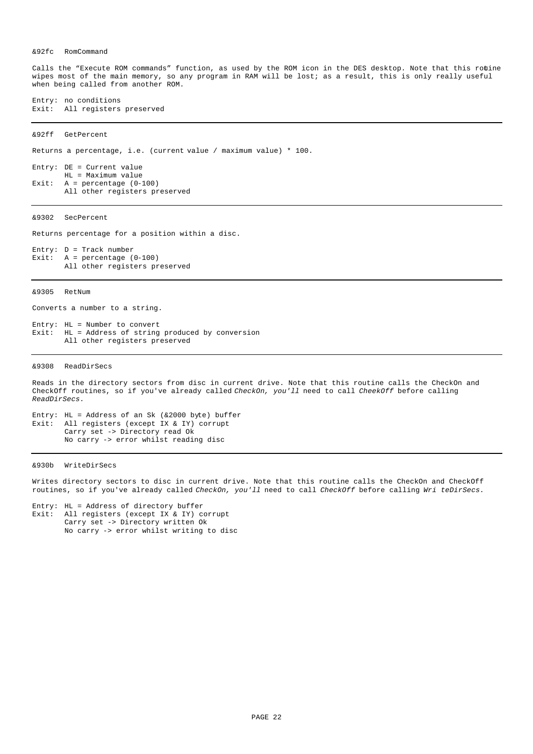### &92fc RomCommand

Calls the "Execute ROM commands" function, as used by the ROM icon in the DES desktop. Note that this routine wipes most of the main memory, so any program in RAM will be lost; as a result, this is only really useful when being called from another ROM.

Entry: no conditions Exit: All registers preserved

&92ff GetPercent

Returns a percentage, i.e. (current value / maximum value) \* 100.

Entry: DE = Current value HL = Maximum value Exit:  $A =$  percentage  $(0-100)$ All other registers preserved

&9302 SecPercent

Returns percentage for a position within a disc.

Entry: D = Track number Exit: A = percentage (0-100) All other registers preserved

&9305 RetNum

Converts a number to a string.

Entry: HL = Number to convert Exit: HL = Address of string produced by conversion All other registers preserved

&9308 ReadDirSecs

Reads in the directory sectors from disc in current drive. Note that this routine calls the CheckOn and CheckOff routines, so if you've already called *CheckOn, you'll* need to call *CheekOff* before calling *ReadDirSecs.*

Entry: HL = Address of an Sk (&2000 byte) buffer Exit: All registers (except IX & IY) corrupt Carry set -> Directory read Ok No carry -> error whilst reading disc

&930b WriteDirSecs

Writes directory sectors to disc in current drive. Note that this routine calls the CheckOn and CheckOff routines, so if you've already called *CheckOn, you'll* need to call *CheckOff* before calling *Wri teDirSecs.*

Entry: HL = Address of directory buffer Exit: All registers (except IX & IY) corrupt Carry set -> Directory written Ok No carry -> error whilst writing to disc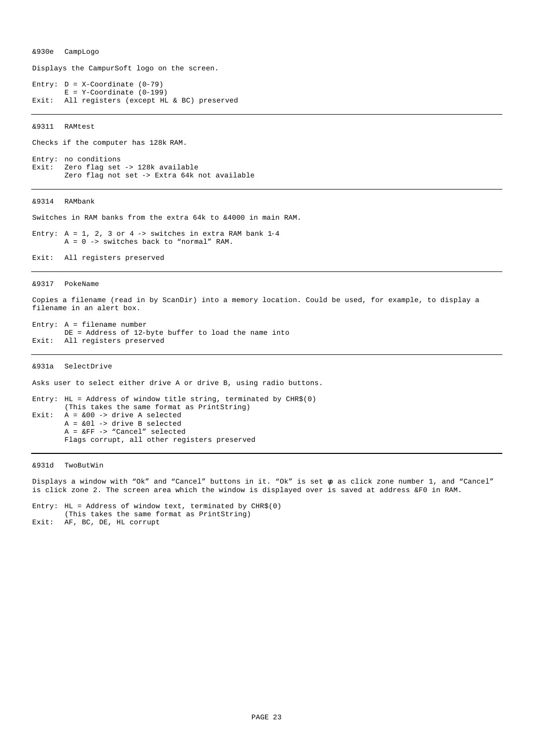&930e CampLogo

Displays the CampurSoft logo on the screen.

Entry:  $D = X$ -Coordinate (0-79)  $E = Y-Coordinate (0-199)$ Exit: All registers (except HL & BC) preserved

&9311 RAMtest

Checks if the computer has 128k RAM.

Entry: no conditions Exit: Zero flag set -> 128k available Zero flag not set -> Extra 64k not available

&9314 RAMbank

Switches in RAM banks from the extra 64k to &4000 in main RAM.

Entry:  $A = 1$ , 2, 3 or 4 -> switches in extra RAM bank 1-4  $A = 0$  -> switches back to "normal" RAM.

Exit: All registers preserved

&9317 PokeName

Copies a filename (read in by ScanDir) into a memory location. Could be used, for example, to display a filename in an alert box.

Entry: A = filename number DE = Address of 12-byte buffer to load the name into Exit: All registers preserved

&931a SelectDrive

Asks user to select either drive A or drive B, using radio buttons.

Entry: HL = Address of window title string, terminated by CHR\$(0) (This takes the same format as PrintString) Exit:  $A = \&00 \rightarrow$  drive A selected  $A = \&01 \rightarrow$  drive B selected A = &FF -> "Cancel" selected Flags corrupt, all other registers preserved

&931d TwoButWin

Displays a window with "Ok" and "Cancel" buttons in it. "Ok" is set up as click zone number 1, and "Cancel" is click zone 2. The screen area which the window is displayed over is saved at address &F0 in RAM.

Entry: HL = Address of window text, terminated by  $CHR$(0)$ (This takes the same format as PrintString) Exit: AF, BC, DE, HL corrupt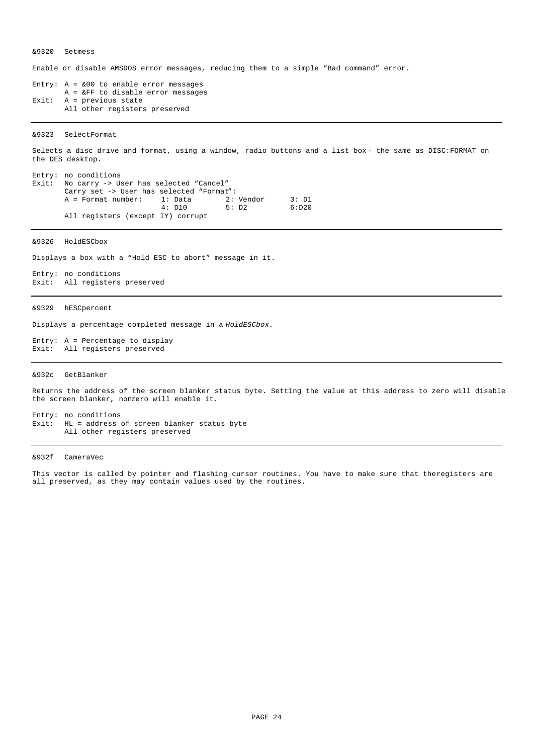&9320 Setmess

Enable or disable AMSDOS error messages, reducing them to a simple "Bad command" error.

Entry:  $A = \&00$  to enable error messages A = &FF to disable error messages Exit:  $A = \text{previous state}$ All other registers preserved

&9323 SelectFormat

Selects a disc drive and format, using a window, radio buttons and a list box- the same as DISC:FORMAT on the DES desktop.

|  | Entry: no conditions                         |        |       |        |
|--|----------------------------------------------|--------|-------|--------|
|  | Exit: No carry -> User has selected "Cancel" |        |       |        |
|  | Carry set -> User has selected "Format":     |        |       |        |
|  | A = Format number: 1: Data 2: Vendor         |        |       | 3: D1  |
|  |                                              | 4: D10 | 5: D2 | 6: D20 |
|  | All registers (except IY) corrupt            |        |       |        |

&9326 HoldESCbox

Displays a box with a "Hold ESC to abort" message in it.

Entry: no conditions Exit: All registers preserved

&9329 hESCpercent

Displays a percentage completed message in a *HoldESCbox.*

Entry: A = Percentage to display Exit: All registers preserved

&932c GetBlanker

Returns the address of the screen blanker status byte. Setting the value at this address to zero will disable the screen blanker, nonzero will enable it.

Entry: no conditions Exit: HL = address of screen blanker status byte All other registers preserved

&932f CameraVec

This vector is called by pointer and flashing cursor routines. You have to make sure that the registers are all preserved, as they may contain values used by the routines.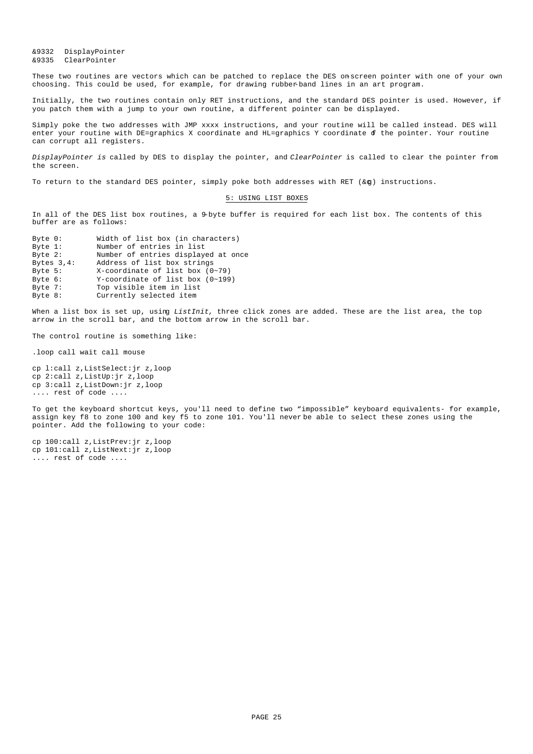&9332 DisplayPointer &9335 ClearPointer

These two routines are vectors which can be patched to replace the DES on-screen pointer with one of your own choosing. This could be used, for example, for drawing rubber-band lines in an art program.

Initially, the two routines contain only RET instructions, and the standard DES pointer is used. However, if you patch them with a jump to your own routine, a different pointer can be displayed.

Simply poke the two addresses with JMP xxxx instructions, and your routine will be called instead. DES will enter your routine with DE=graphics X coordinate and HL=graphics Y coordinate of the pointer. Your routine can corrupt all registers.

*DisplayPointer is* called by DES to display the pointer, and *ClearPointer* is called to clear the pointer from the screen.

To return to the standard DES pointer, simply poke both addresses with RET ( $\&\sigma$ ) instructions.

### 5: USING LIST BOXES

In all of the DES list box routines, a 9-byte buffer is required for each list box. The contents of this buffer are as follows:

| Byte $0:$      | Width of list box (in characters)     |
|----------------|---------------------------------------|
| Byte $1$ :     | Number of entries in list             |
| Byte $2$ :     | Number of entries displayed at once   |
| Bytes $3, 4$ : | Address of list box strings           |
| Byte $5:$      | $X$ -coordinate of list box $(0~1)$   |
| Byte $6:$      | $Y$ -coordinate of list box $(0-199)$ |
| Byte 7:        | Top visible item in list              |
| Byte 8:        | Currently selected item               |

When a list box is set up, using *ListInit,* three click zones are added. These are the list area, the top arrow in the scroll bar, and the bottom arrow in the scroll bar.

The control routine is something like:

.loop call wait call mouse

cp l:call z,ListSelect:jr z,loop cp 2:call z,ListUp:jr z,loop cp 3:call z,ListDown:jr z,loop .... rest of code ....

To get the keyboard shortcut keys, you'll need to define two "impossible" keyboard equivalents- for example, assign key f8 to zone 100 and key f5 to zone 101. You'll never be able to select these zones using the pointer. Add the following to your code:

cp 100:call z,ListPrev:jr z,loop cp 101:call z,ListNext:jr z,loop .... rest of code ....